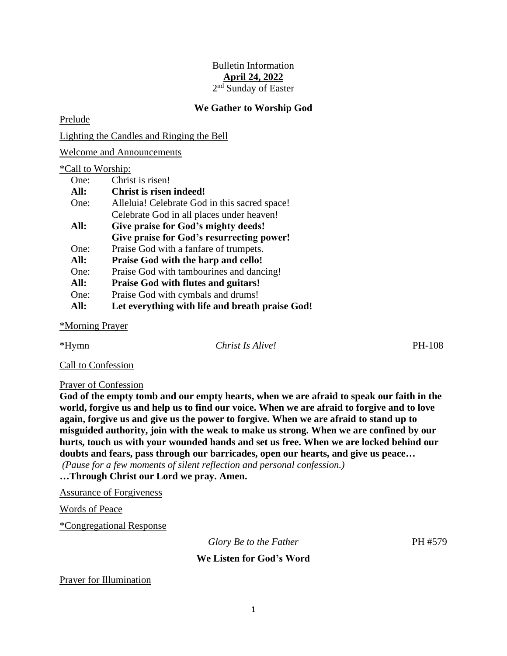# Bulletin Information **April 24, 2022** 2<sup>nd</sup> Sunday of Easter

### **We Gather to Worship God**

Prelude

Lighting the Candles and Ringing the Bell

Welcome and Announcements

#### \*Call to Worship:

| One: | Christ is risen!                                |
|------|-------------------------------------------------|
| All: | <b>Christ is risen indeed!</b>                  |
| One: | Alleluia! Celebrate God in this sacred space!   |
|      | Celebrate God in all places under heaven!       |
| All: | Give praise for God's mighty deeds!             |
|      | Give praise for God's resurrecting power!       |
| One: | Praise God with a fanfare of trumpets.          |
| All: | <b>Praise God with the harp and cello!</b>      |
| One: | Praise God with tambourines and dancing!        |
| All: | <b>Praise God with flutes and guitars!</b>      |
| One: | Praise God with cymbals and drums!              |
| All: | Let everything with life and breath praise God! |

\*Morning Prayer

\*Hymn *Christ Is Alive!* PH-108

Call to Confession

Prayer of Confession

**God of the empty tomb and our empty hearts, when we are afraid to speak our faith in the world, forgive us and help us to find our voice. When we are afraid to forgive and to love again, forgive us and give us the power to forgive. When we are afraid to stand up to misguided authority, join with the weak to make us strong. When we are confined by our hurts, touch us with your wounded hands and set us free. When we are locked behind our doubts and fears, pass through our barricades, open our hearts, and give us peace…**

*(Pause for a few moments of silent reflection and personal confession.)* **…Through Christ our Lord we pray. Amen.**

Assurance of Forgiveness

Words of Peace

\*Congregational Response

*Glory Be to the Father* PH #579

**We Listen for God's Word**

Prayer for Illumination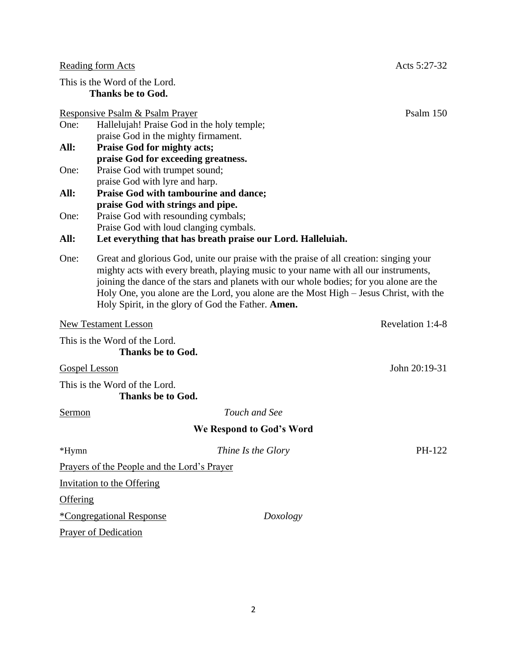Reading form Acts **Acts** 5:27-32

This is the Word of the Lord. **Thanks be to God.**

Responsive Psalm & Psalm Prayer Psalm 150

**All: Praise God for mighty acts; praise God for exceeding greatness.** One: Praise God with trumpet sound;

praise God with lyre and harp.

**All: Praise God with tambourine and dance; praise God with strings and pipe.** One: Praise God with resounding cymbals;

Praise God with loud clanging cymbals.

# **All: Let everything that has breath praise our Lord. Halleluiah.**

One: Great and glorious God, unite our praise with the praise of all creation: singing your mighty acts with every breath, playing music to your name with all our instruments, joining the dance of the stars and planets with our whole bodies; for you alone are the Holy One, you alone are the Lord, you alone are the Most High – Jesus Christ, with the Holy Spirit, in the glory of God the Father. **Amen.**

New Testament Lesson Revelation 1:4-8 This is the Word of the Lord. **Thanks be to God.** Gospel Lesson John 20:19-31 This is the Word of the Lord. **Thanks be to God.** Sermon *Touch and See* **We Respond to God's Word** \*Hymn *Thine Is the Glory* PH-122

Prayers of the People and the Lord's Prayer

Invitation to the Offering

**Offering** 

\*Congregational Response *Doxology*

Prayer of Dedication